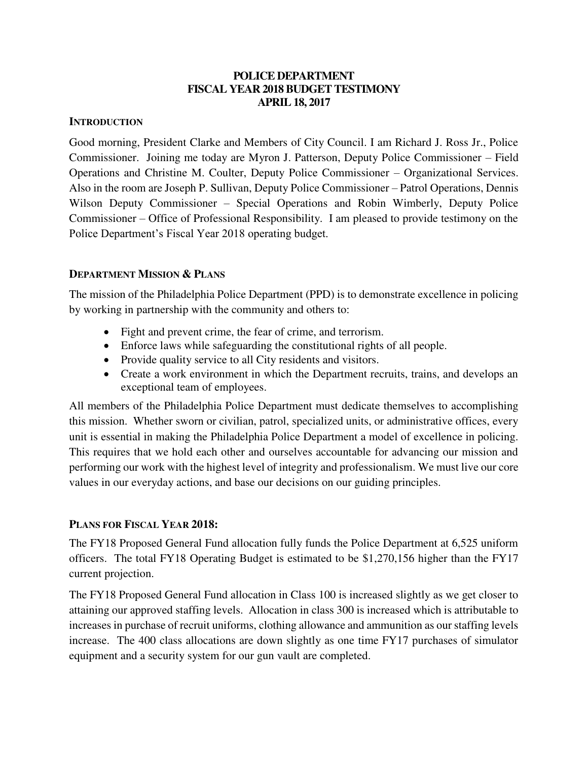### **POLICE DEPARTMENT FISCAL YEAR 2018 BUDGET TESTIMONY APRIL 18, 2017**

### **INTRODUCTION**

Good morning, President Clarke and Members of City Council. I am Richard J. Ross Jr., Police Commissioner. Joining me today are Myron J. Patterson, Deputy Police Commissioner – Field Operations and Christine M. Coulter, Deputy Police Commissioner – Organizational Services. Also in the room are Joseph P. Sullivan, Deputy Police Commissioner – Patrol Operations, Dennis Wilson Deputy Commissioner – Special Operations and Robin Wimberly, Deputy Police Commissioner – Office of Professional Responsibility. I am pleased to provide testimony on the Police Department's Fiscal Year 2018 operating budget.

## **DEPARTMENT MISSION & PLANS**

The mission of the Philadelphia Police Department (PPD) is to demonstrate excellence in policing by working in partnership with the community and others to:

- Fight and prevent crime, the fear of crime, and terrorism.
- Enforce laws while safeguarding the constitutional rights of all people.
- Provide quality service to all City residents and visitors.
- Create a work environment in which the Department recruits, trains, and develops an exceptional team of employees.

All members of the Philadelphia Police Department must dedicate themselves to accomplishing this mission. Whether sworn or civilian, patrol, specialized units, or administrative offices, every unit is essential in making the Philadelphia Police Department a model of excellence in policing. This requires that we hold each other and ourselves accountable for advancing our mission and performing our work with the highest level of integrity and professionalism. We must live our core values in our everyday actions, and base our decisions on our guiding principles.

## **PLANS FOR FISCAL YEAR 2018:**

The FY18 Proposed General Fund allocation fully funds the Police Department at 6,525 uniform officers. The total FY18 Operating Budget is estimated to be \$1,270,156 higher than the FY17 current projection.

The FY18 Proposed General Fund allocation in Class 100 is increased slightly as we get closer to attaining our approved staffing levels. Allocation in class 300 is increased which is attributable to increases in purchase of recruit uniforms, clothing allowance and ammunition as our staffing levels increase. The 400 class allocations are down slightly as one time FY17 purchases of simulator equipment and a security system for our gun vault are completed.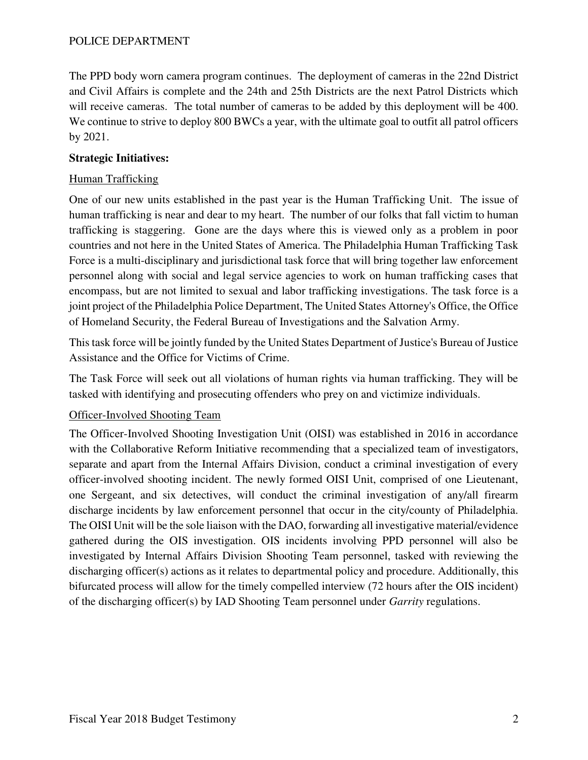The PPD body worn camera program continues. The deployment of cameras in the 22nd District and Civil Affairs is complete and the 24th and 25th Districts are the next Patrol Districts which will receive cameras. The total number of cameras to be added by this deployment will be 400. We continue to strive to deploy 800 BWCs a year, with the ultimate goal to outfit all patrol officers by 2021.

## **Strategic Initiatives:**

# Human Trafficking

One of our new units established in the past year is the Human Trafficking Unit. The issue of human trafficking is near and dear to my heart. The number of our folks that fall victim to human trafficking is staggering. Gone are the days where this is viewed only as a problem in poor countries and not here in the United States of America. The Philadelphia Human Trafficking Task Force is a multi-disciplinary and jurisdictional task force that will bring together law enforcement personnel along with social and legal service agencies to work on human trafficking cases that encompass, but are not limited to sexual and labor trafficking investigations. The task force is a joint project of the Philadelphia Police Department, The United States Attorney's Office, the Office of Homeland Security, the Federal Bureau of Investigations and the Salvation Army.

This task force will be jointly funded by the United States Department of Justice's Bureau of Justice Assistance and the Office for Victims of Crime.

The Task Force will seek out all violations of human rights via human trafficking. They will be tasked with identifying and prosecuting offenders who prey on and victimize individuals.

## Officer-Involved Shooting Team

The Officer-Involved Shooting Investigation Unit (OISI) was established in 2016 in accordance with the Collaborative Reform Initiative recommending that a specialized team of investigators, separate and apart from the Internal Affairs Division, conduct a criminal investigation of every officer-involved shooting incident. The newly formed OISI Unit, comprised of one Lieutenant, one Sergeant, and six detectives, will conduct the criminal investigation of any/all firearm discharge incidents by law enforcement personnel that occur in the city/county of Philadelphia. The OISI Unit will be the sole liaison with the DAO, forwarding all investigative material/evidence gathered during the OIS investigation. OIS incidents involving PPD personnel will also be investigated by Internal Affairs Division Shooting Team personnel, tasked with reviewing the discharging officer(s) actions as it relates to departmental policy and procedure. Additionally, this bifurcated process will allow for the timely compelled interview (72 hours after the OIS incident) of the discharging officer(s) by IAD Shooting Team personnel under *Garrity* regulations.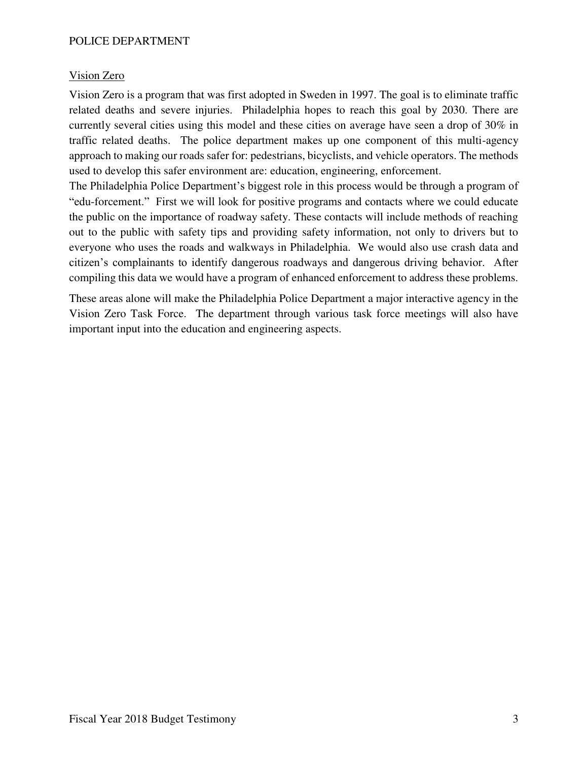### Vision Zero

Vision Zero is a program that was first adopted in Sweden in 1997. The goal is to eliminate traffic related deaths and severe injuries. Philadelphia hopes to reach this goal by 2030. There are currently several cities using this model and these cities on average have seen a drop of 30% in traffic related deaths. The police department makes up one component of this multi-agency approach to making our roads safer for: pedestrians, bicyclists, and vehicle operators. The methods used to develop this safer environment are: education, engineering, enforcement.

The Philadelphia Police Department's biggest role in this process would be through a program of "edu-forcement." First we will look for positive programs and contacts where we could educate the public on the importance of roadway safety. These contacts will include methods of reaching out to the public with safety tips and providing safety information, not only to drivers but to everyone who uses the roads and walkways in Philadelphia. We would also use crash data and citizen's complainants to identify dangerous roadways and dangerous driving behavior. After compiling this data we would have a program of enhanced enforcement to address these problems.

These areas alone will make the Philadelphia Police Department a major interactive agency in the Vision Zero Task Force. The department through various task force meetings will also have important input into the education and engineering aspects.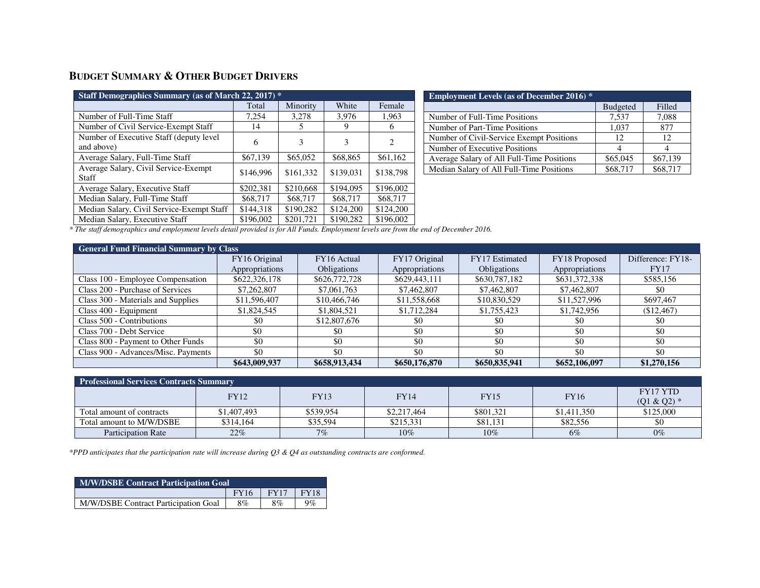# **BUDGET SUMMARY & OTHER BUDGET DRIVERS**

| Staff Demographics Summary (as of March 22, 2017) *   |           |           |           |           |
|-------------------------------------------------------|-----------|-----------|-----------|-----------|
|                                                       | Total     | Minority  | White     | Female    |
| Number of Full-Time Staff                             | 7,254     | 3,278     | 3,976     | 1,963     |
| Number of Civil Service-Exempt Staff                  | 14        | 5         | Q,        | h         |
| Number of Executive Staff (deputy level<br>and above) | 6         | 3         | 3         | 2         |
| Average Salary, Full-Time Staff                       | \$67,139  | \$65,052  | \$68,865  | \$61,162  |
| Average Salary, Civil Service-Exempt<br>Staff         | \$146,996 | \$161,332 | \$139,031 | \$138,798 |
| Average Salary, Executive Staff                       | \$202,381 | \$210,668 | \$194,095 | \$196,002 |
| Median Salary, Full-Time Staff                        | \$68,717  | \$68,717  | \$68,717  | \$68,717  |
| Median Salary, Civil Service-Exempt Staff             | \$144,318 | \$190.282 | \$124,200 | \$124,200 |
| Median Salary, Executive Staff                        | \$196,002 | \$201,721 | \$190,282 | \$196,002 |

| <b>Employment Levels (as of December 2016)</b> * |                 |          |
|--------------------------------------------------|-----------------|----------|
|                                                  | <b>Budgeted</b> | Filled   |
| Number of Full-Time Positions                    | 7.537           | 7,088    |
| Number of Part-Time Positions                    | 1.037           | 877      |
| Number of Civil-Service Exempt Positions         | 12              | 12       |
| Number of Executive Positions                    |                 |          |
| Average Salary of All Full-Time Positions        | \$65,045        | \$67,139 |
| Median Salary of All Full-Time Positions         | \$68,717        | \$68,717 |

*\* The staff demographics and employment levels detail provided is for All Funds. Employment levels are from the end of December 2016.* 

| <b>General Fund Financial Summary by Class</b> |                |                    |                |                    |                |                   |
|------------------------------------------------|----------------|--------------------|----------------|--------------------|----------------|-------------------|
|                                                | FY16 Original  | FY16 Actual        | FY17 Original  | FY17 Estimated     | FY18 Proposed  | Difference: FY18- |
|                                                | Appropriations | <b>Obligations</b> | Appropriations | <b>Obligations</b> | Appropriations | <b>FY17</b>       |
| Class 100 - Employee Compensation              | \$622,326,178  | \$626,772,728      | \$629,443,111  | \$630,787,182      | \$631,372,338  | \$585,156         |
| Class 200 - Purchase of Services               | \$7,262,807    | \$7,061,763        | \$7,462,807    | \$7,462,807        | \$7,462,807    | \$0               |
| Class 300 - Materials and Supplies             | \$11,596,407   | \$10,466,746       | \$11,558,668   | \$10,830,529       | \$11,527,996   | \$697,467         |
| Class 400 - Equipment                          | \$1,824,545    | \$1,804,521        | \$1,712,284    | \$1,755,423        | \$1,742,956    | (\$12,467)        |
| Class 500 - Contributions                      | \$0            | \$12,807,676       | \$0            | \$0                | \$0            | \$0               |
| Class 700 - Debt Service                       | \$0            | \$0                | \$0            | \$0                | \$0            | \$0               |
| Class 800 - Payment to Other Funds             | \$0            | \$0                | \$0            | \$0                | \$0            | \$0               |
| Class 900 - Advances/Misc. Payments            | \$0            | \$0                | \$0            | \$0                | \$0            | \$0               |
|                                                | \$643,009,937  | \$658,913,434      | \$650,176,870  | \$650,835,941      | \$652,106,097  | \$1,270,156       |

| <b>Professional Services Contracts Summary</b> |             |             |             |             |             |                          |
|------------------------------------------------|-------------|-------------|-------------|-------------|-------------|--------------------------|
|                                                | <b>FY12</b> | <b>FY13</b> | FY 14       | <b>FY15</b> | <b>FY16</b> | FY17 YTD<br>$(Q1 & Q2)*$ |
| Total amount of contracts                      | \$1,407,493 | \$539.954   | \$2,217,464 | \$801,321   | \$1,411,350 | \$125,000                |
| Total amount to M/W/DSBE                       | \$314,164   | \$35,594    | \$215,331   | \$81,131    | \$82,556    | \$0                      |
| <b>Participation Rate</b>                      | 22%         | 7%          | $10\%$      | $10\%$      | 6%          | $0\%$                    |

*\*PPD anticipates that the participation rate will increase during Q3 & Q4 as outstanding contracts are conformed.* 

| <b>M/W/DSBE Contract Participation Goal</b> |             |             |             |  |  |  |  |  |  |  |  |  |  |
|---------------------------------------------|-------------|-------------|-------------|--|--|--|--|--|--|--|--|--|--|
|                                             | <b>FY16</b> | <b>FY17</b> | <b>FY18</b> |  |  |  |  |  |  |  |  |  |  |
| M/W/DSBE Contract Participation Goal        | 8%          | 8%          | $9\%$       |  |  |  |  |  |  |  |  |  |  |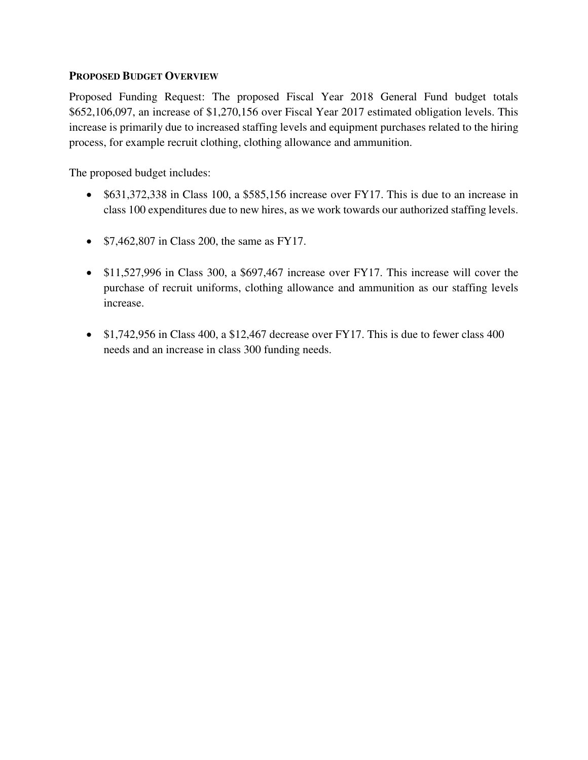#### **PROPOSED BUDGET OVERVIEW**

Proposed Funding Request: The proposed Fiscal Year 2018 General Fund budget totals \$652,106,097, an increase of \$1,270,156 over Fiscal Year 2017 estimated obligation levels. This increase is primarily due to increased staffing levels and equipment purchases related to the hiring process, for example recruit clothing, clothing allowance and ammunition.

The proposed budget includes:

- \$631,372,338 in Class 100, a \$585,156 increase over FY17. This is due to an increase in class 100 expenditures due to new hires, as we work towards our authorized staffing levels.
- $\bullet$  \$7,462,807 in Class 200, the same as FY17.
- \$11,527,996 in Class 300, a \$697,467 increase over FY17. This increase will cover the purchase of recruit uniforms, clothing allowance and ammunition as our staffing levels increase.
- \$1,742,956 in Class 400, a \$12,467 decrease over FY17. This is due to fewer class 400 needs and an increase in class 300 funding needs.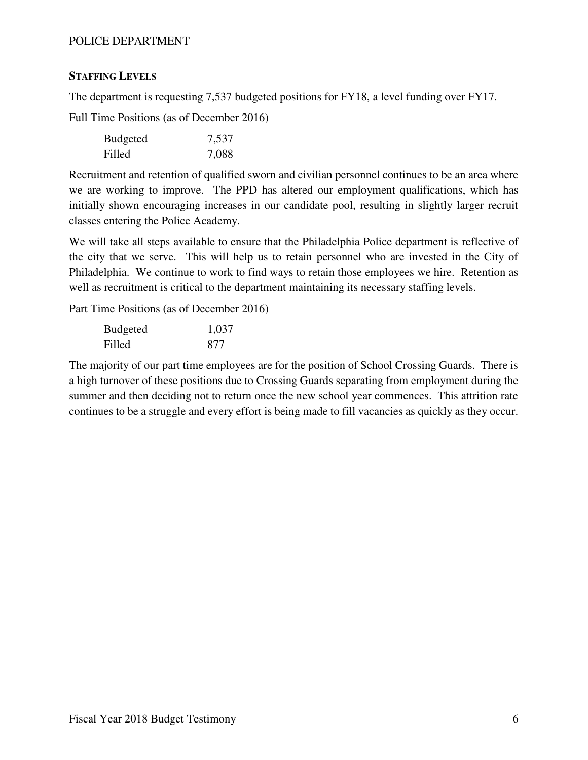### **STAFFING LEVELS**

The department is requesting 7,537 budgeted positions for FY18, a level funding over FY17.

Full Time Positions (as of December 2016)

| <b>Budgeted</b> | 7,537 |
|-----------------|-------|
| Filled          | 7,088 |

Recruitment and retention of qualified sworn and civilian personnel continues to be an area where we are working to improve. The PPD has altered our employment qualifications, which has initially shown encouraging increases in our candidate pool, resulting in slightly larger recruit classes entering the Police Academy.

We will take all steps available to ensure that the Philadelphia Police department is reflective of the city that we serve. This will help us to retain personnel who are invested in the City of Philadelphia. We continue to work to find ways to retain those employees we hire. Retention as well as recruitment is critical to the department maintaining its necessary staffing levels.

Part Time Positions (as of December 2016)

| <b>Budgeted</b> | 1,037 |
|-----------------|-------|
| Filled          | 877   |

The majority of our part time employees are for the position of School Crossing Guards. There is a high turnover of these positions due to Crossing Guards separating from employment during the summer and then deciding not to return once the new school year commences. This attrition rate continues to be a struggle and every effort is being made to fill vacancies as quickly as they occur.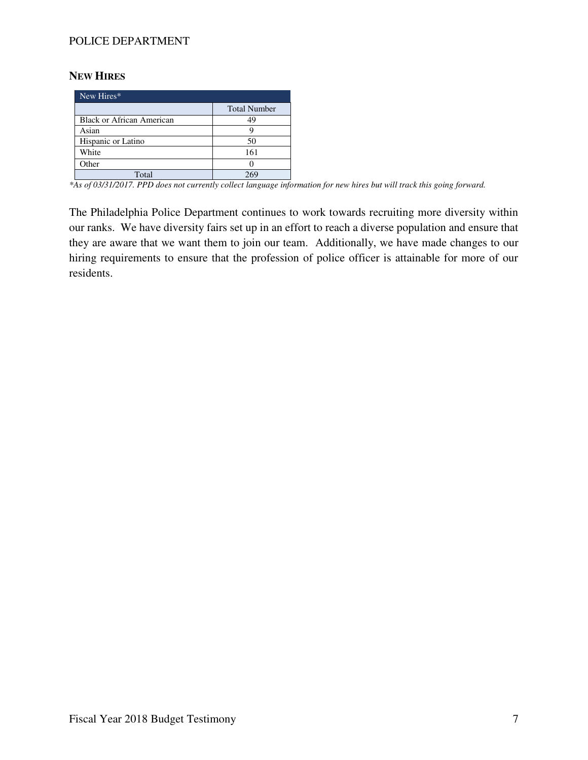#### **NEW HIRES**

| New Hires*                |                     |
|---------------------------|---------------------|
|                           | <b>Total Number</b> |
| Black or African American | 49                  |
| Asian                     |                     |
| Hispanic or Latino        | 50                  |
| White                     | 161                 |
| Other                     |                     |
| Total                     |                     |

*\*As of 03/31/2017. PPD does not currently collect language information for new hires but will track this going forward.* 

The Philadelphia Police Department continues to work towards recruiting more diversity within our ranks. We have diversity fairs set up in an effort to reach a diverse population and ensure that they are aware that we want them to join our team. Additionally, we have made changes to our hiring requirements to ensure that the profession of police officer is attainable for more of our residents.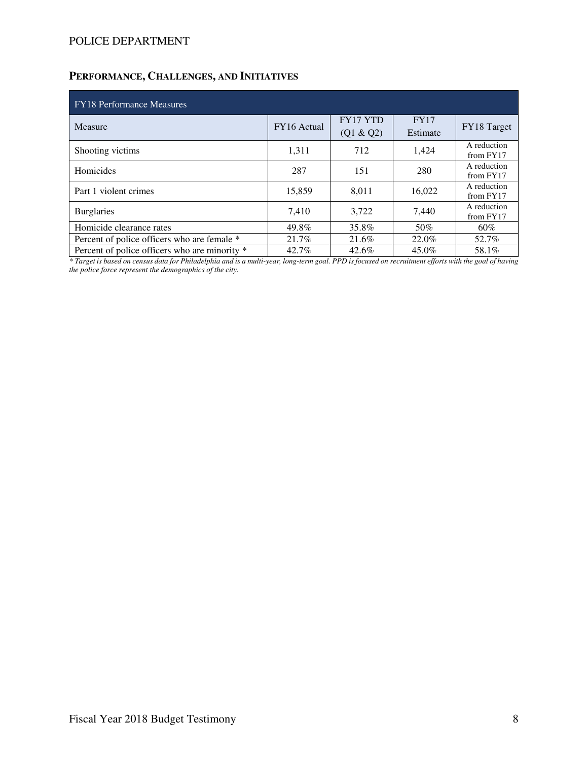# **PERFORMANCE, CHALLENGES, AND INITIATIVES**

| <b>FY18 Performance Measures</b>              |             |                       |                         |                          |  |  |  |  |  |  |  |  |  |
|-----------------------------------------------|-------------|-----------------------|-------------------------|--------------------------|--|--|--|--|--|--|--|--|--|
| Measure                                       | FY16 Actual | FY17 YTD<br>(Q1 & Q2) | <b>FY17</b><br>Estimate | FY18 Target              |  |  |  |  |  |  |  |  |  |
| Shooting victims                              | 1,311       | 712                   | 1,424                   | A reduction<br>from FY17 |  |  |  |  |  |  |  |  |  |
| Homicides                                     | 287         | 151                   | 280                     | A reduction<br>from FY17 |  |  |  |  |  |  |  |  |  |
| Part 1 violent crimes                         | 15,859      | 8,011                 | 16,022                  | A reduction<br>from FY17 |  |  |  |  |  |  |  |  |  |
| <b>Burglaries</b>                             | 7.410       | 3.722                 | 7.440                   | A reduction<br>from FY17 |  |  |  |  |  |  |  |  |  |
| Homicide clearance rates                      | 49.8%       | 35.8%                 | 50%                     | 60%                      |  |  |  |  |  |  |  |  |  |
| Percent of police officers who are female *   | 21.7%       | 21.6%                 | 22.0%                   | 52.7%                    |  |  |  |  |  |  |  |  |  |
| Percent of police officers who are minority * | 42.7%       | 42.6%                 | 45.0%                   | 58.1%                    |  |  |  |  |  |  |  |  |  |

*\* Target is based on census data for Philadelphia and is a multi-year, long-term goal. PPD is focused on recruitment efforts with the goal of having the police force represent the demographics of the city.*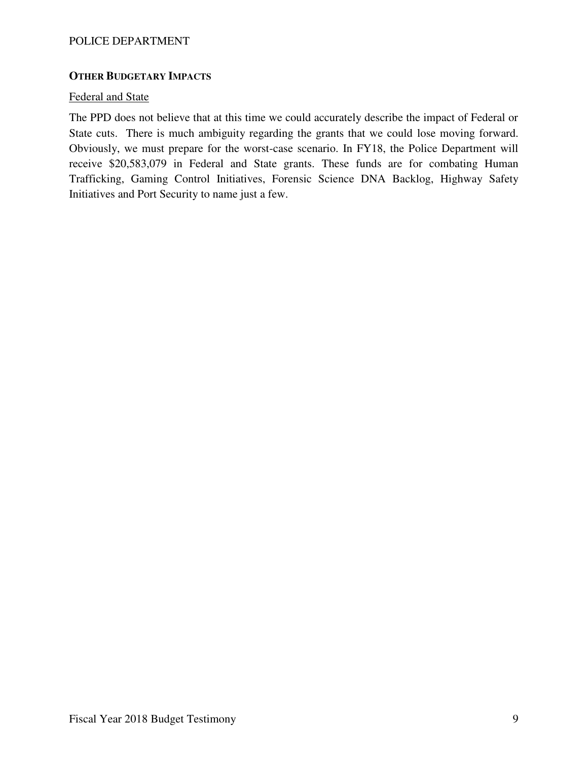### **OTHER BUDGETARY IMPACTS**

#### Federal and State

The PPD does not believe that at this time we could accurately describe the impact of Federal or State cuts. There is much ambiguity regarding the grants that we could lose moving forward. Obviously, we must prepare for the worst-case scenario. In FY18, the Police Department will receive \$20,583,079 in Federal and State grants. These funds are for combating Human Trafficking, Gaming Control Initiatives, Forensic Science DNA Backlog, Highway Safety Initiatives and Port Security to name just a few.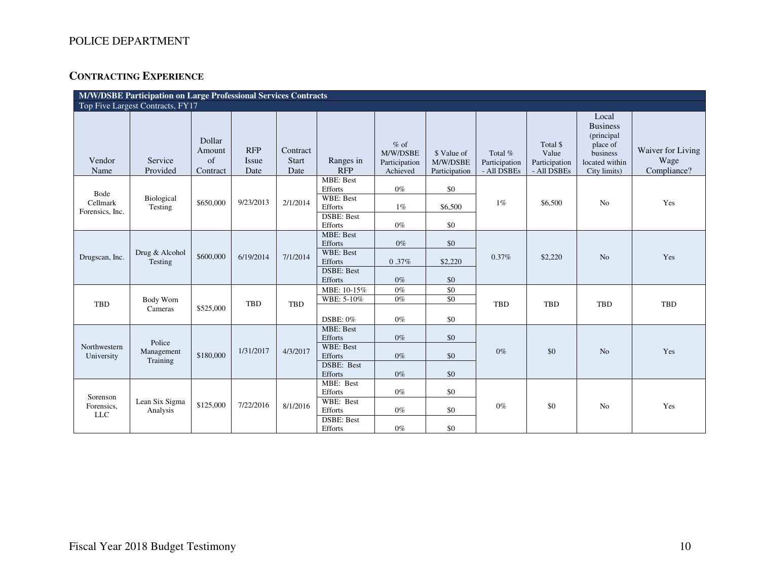# **CONTRACTING EXPERIENCE**

|                                     | M/W/DSBE Participation on Large Professional Services Contracts |                                    |                             |                                  |                                                 |                                                 |                                          |                                         |                                                   |                                                                                                   |                                          |  |
|-------------------------------------|-----------------------------------------------------------------|------------------------------------|-----------------------------|----------------------------------|-------------------------------------------------|-------------------------------------------------|------------------------------------------|-----------------------------------------|---------------------------------------------------|---------------------------------------------------------------------------------------------------|------------------------------------------|--|
|                                     | Top Five Largest Contracts, FY17                                |                                    |                             |                                  |                                                 |                                                 |                                          |                                         |                                                   |                                                                                                   |                                          |  |
| Vendor<br>Name                      | Service<br>Provided                                             | Dollar<br>Amount<br>of<br>Contract | <b>RFP</b><br>Issue<br>Date | Contract<br><b>Start</b><br>Date | Ranges in<br><b>RFP</b>                         | $%$ of<br>M/W/DSBE<br>Participation<br>Achieved | \$ Value of<br>M/W/DSBE<br>Participation | Total %<br>Participation<br>- All DSBEs | Total \$<br>Value<br>Participation<br>- All DSBEs | Local<br><b>Business</b><br>(principal)<br>place of<br>business<br>located within<br>City limits) | Waiver for Living<br>Wage<br>Compliance? |  |
|                                     |                                                                 |                                    |                             |                                  | <b>MBE: Best</b><br>Efforts                     | $0\%$                                           | \$0                                      |                                         |                                                   |                                                                                                   |                                          |  |
| Bode<br>Cellmark<br>Forensics, Inc. | Biological<br>Testing                                           | \$650,000                          | 9/23/2013                   | 2/1/2014                         | <b>WBE: Best</b><br>Efforts                     | $1\%$                                           | \$6,500                                  | $1\%$                                   | \$6,500                                           | N <sub>o</sub>                                                                                    | Yes                                      |  |
|                                     |                                                                 |                                    |                             |                                  | <b>DSBE: Best</b><br>Efforts                    | $0\%$                                           | \$0                                      |                                         |                                                   |                                                                                                   |                                          |  |
|                                     |                                                                 |                                    |                             |                                  | <b>MBE: Best</b><br>Efforts<br><b>WBE: Best</b> | $0\%$                                           | \$0                                      |                                         |                                                   |                                                                                                   |                                          |  |
| Drugscan, Inc.                      | Drug & Alcohol<br>Testing                                       | \$600,000                          | 6/19/2014                   | 7/1/2014                         | Efforts                                         | 0.37%                                           | \$2,220                                  | 0.37%                                   | \$2,220                                           | N <sub>o</sub>                                                                                    | Yes                                      |  |
|                                     |                                                                 |                                    |                             |                                  | <b>DSBE: Best</b><br>Efforts                    | $0\%$                                           | \$0                                      |                                         |                                                   |                                                                                                   |                                          |  |
|                                     |                                                                 |                                    |                             |                                  | MBE: 10-15%                                     | $0\%$                                           | \$0                                      |                                         |                                                   |                                                                                                   |                                          |  |
| <b>TBD</b>                          | Body Worn<br>Cameras                                            | \$525,000                          | TBD                         | <b>TBD</b>                       | WBE: 5-10%<br><b>DSBE: 0%</b>                   | $0\%$<br>$0\%$                                  | \$0<br>\$0                               | <b>TBD</b>                              | <b>TBD</b>                                        | <b>TBD</b>                                                                                        | TBD                                      |  |
|                                     | Police                                                          |                                    |                             |                                  | MBE: Best<br>Efforts                            | $0\%$                                           | \$0                                      |                                         |                                                   |                                                                                                   |                                          |  |
| Northwestern<br>University          | Management                                                      | \$180,000                          | 1/31/2017                   | 4/3/2017                         | WBE: Best<br>Efforts                            | $0\%$                                           | \$0                                      | $0\%$                                   | \$0                                               | No                                                                                                | Yes                                      |  |
|                                     | Training                                                        |                                    |                             |                                  | DSBE: Best<br>Efforts                           | $0\%$                                           | \$0                                      |                                         |                                                   |                                                                                                   |                                          |  |
| Sorenson                            |                                                                 |                                    |                             |                                  | MBE: Best<br>Efforts                            | $0\%$                                           | \$0                                      |                                         |                                                   |                                                                                                   |                                          |  |
| Forensics,<br><b>LLC</b>            | Lean Six Sigma<br>Analysis                                      | \$125,000                          | 7/22/2016                   | 8/1/2016                         | WBE: Best<br>Efforts                            | $0\%$                                           | \$0                                      | $0\%$                                   | \$0                                               | N <sub>0</sub>                                                                                    | Yes                                      |  |
|                                     |                                                                 |                                    |                             |                                  | <b>DSBE: Best</b><br>Efforts                    | $0\%$                                           | \$0                                      |                                         |                                                   |                                                                                                   |                                          |  |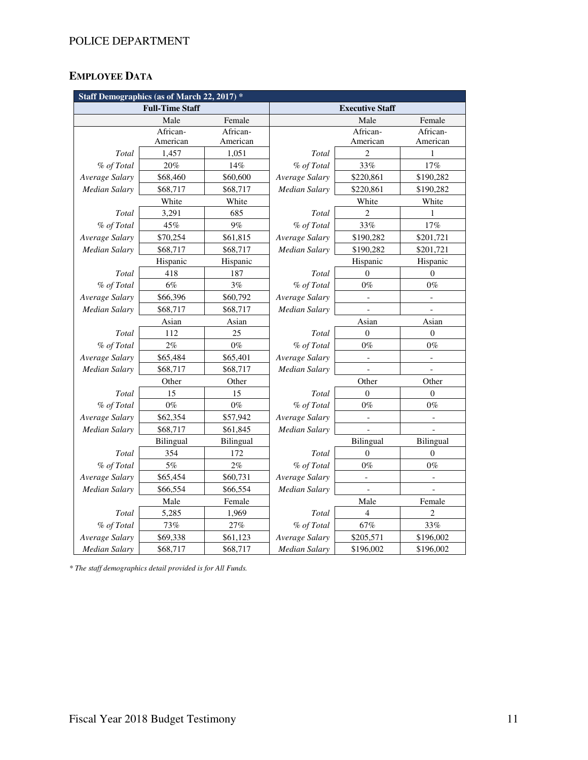# **EMPLOYEE DATA**

|                      | Staff Demographics (as of March 22, 2017) * |           |                      |                          |                  |  |  |
|----------------------|---------------------------------------------|-----------|----------------------|--------------------------|------------------|--|--|
|                      | <b>Full-Time Staff</b>                      |           |                      | <b>Executive Staff</b>   |                  |  |  |
|                      | Male                                        | Female    |                      | Male                     | Female           |  |  |
|                      | African-                                    | African-  |                      | African-                 | African-         |  |  |
|                      | American                                    | American  |                      | American                 | American         |  |  |
| Total                | 1,457                                       | 1,051     | Total                | $\overline{2}$           | 1                |  |  |
| % of Total           | 20%                                         | 14%       | % of Total           | 33%                      | 17%              |  |  |
| Average Salary       | \$68,460                                    | \$60,600  | Average Salary       | \$220,861                | \$190,282        |  |  |
| Median Salary        | \$68,717                                    | \$68,717  | <b>Median Salary</b> | \$220,861                | \$190,282        |  |  |
|                      | White                                       | White     |                      | White                    | White            |  |  |
| Total                | 3,291                                       | 685       | Total                | $\overline{c}$           | 1                |  |  |
| % of Total           | 45%                                         | 9%        | % of Total           | 33%                      | 17%              |  |  |
| Average Salary       | \$70,254                                    | \$61,815  | Average Salary       | \$190,282                | \$201,721        |  |  |
| Median Salary        | \$68,717                                    | \$68,717  | Median Salary        | \$190,282                | \$201,721        |  |  |
|                      | Hispanic                                    | Hispanic  |                      | Hispanic                 | Hispanic         |  |  |
| Total                | 418                                         | 187       | Total                | $\Omega$                 | $\Omega$         |  |  |
| % of Total           | 6%                                          | $3\%$     | % of Total           | $0\%$                    | $0\%$            |  |  |
| Average Salary       | \$66,396                                    | \$60,792  | Average Salary       | $\blacksquare$           |                  |  |  |
| <b>Median Salary</b> | \$68,717                                    | \$68,717  | <b>Median Salary</b> |                          |                  |  |  |
|                      | Asian                                       | Asian     |                      | Asian                    | Asian            |  |  |
| Total                | 112                                         | 25        | Total                | $\boldsymbol{0}$         | $\boldsymbol{0}$ |  |  |
| % of Total           | 2%                                          | $0\%$     | % of Total           | $0\%$                    | $0\%$            |  |  |
| Average Salary       | \$65,484                                    | \$65,401  | Average Salary       |                          |                  |  |  |
| Median Salary        | \$68,717                                    | \$68,717  | Median Salary        |                          |                  |  |  |
|                      | Other                                       | Other     |                      | Other                    | Other            |  |  |
| Total                | 15                                          | 15        | Total                | $\overline{0}$           | $\overline{0}$   |  |  |
| % of Total           | $0\%$                                       | $0\%$     | % of Total           | $0\%$                    | $0\%$            |  |  |
| Average Salary       | \$62,354                                    | \$57,942  | Average Salary       | $\overline{\phantom{0}}$ | $\overline{a}$   |  |  |
| Median Salary        | \$68,717                                    | \$61,845  | <b>Median Salary</b> |                          |                  |  |  |
|                      | <b>Bilingual</b>                            | Bilingual |                      | Bilingual                | <b>Bilingual</b> |  |  |
| Total                | 354                                         | 172       | Total                | $\overline{0}$           | $\boldsymbol{0}$ |  |  |
| % of Total           | 5%                                          | 2%        | % of Total           | $0\%$                    | $0\%$            |  |  |
| Average Salary       | \$65,454                                    | \$60,731  | Average Salary       | -                        |                  |  |  |
| Median Salary        | \$66,554                                    | \$66,554  | <b>Median Salary</b> | $\overline{a}$           |                  |  |  |
|                      | Male                                        | Female    |                      | Female                   |                  |  |  |
| Total                | 5,285                                       | 1,969     | Total                | 4                        | 2                |  |  |
| % of Total           | 73%                                         | 27%       | % of Total           | 67%                      | 33%              |  |  |
| Average Salary       | \$69,338                                    | \$61,123  | Average Salary       | \$205,571                | \$196,002        |  |  |
| Median Salary        | \$68,717                                    | \$68,717  | Median Salary        | \$196,002                | \$196,002        |  |  |

*\* The staff demographics detail provided is for All Funds.*